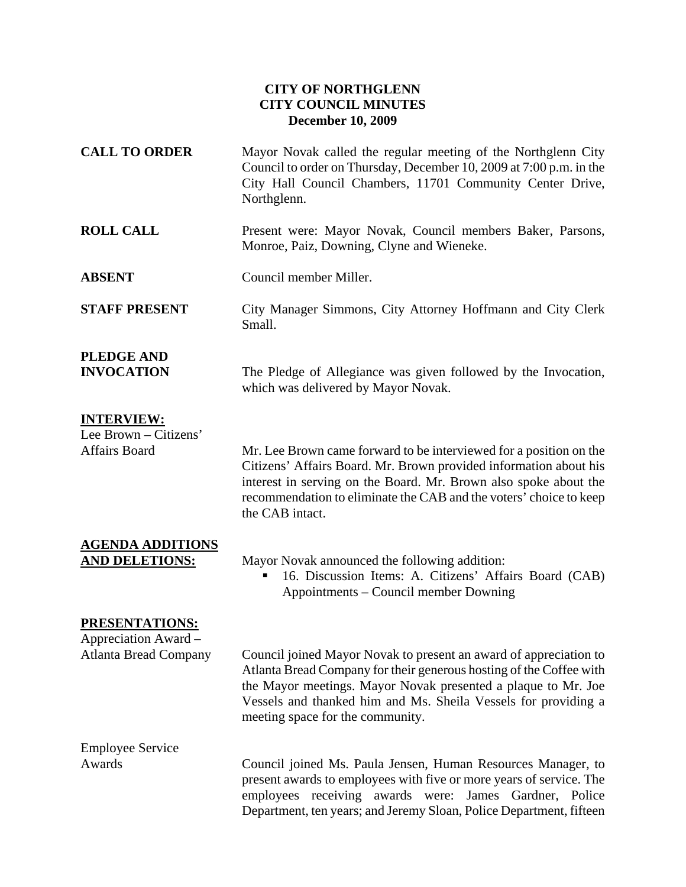## **CITY OF NORTHGLENN CITY COUNCIL MINUTES December 10, 2009**

| <b>CALL TO ORDER</b>                                                          | Mayor Novak called the regular meeting of the Northglenn City<br>Council to order on Thursday, December 10, 2009 at 7:00 p.m. in the<br>City Hall Council Chambers, 11701 Community Center Drive,<br>Northglenn.                                                                                                |
|-------------------------------------------------------------------------------|-----------------------------------------------------------------------------------------------------------------------------------------------------------------------------------------------------------------------------------------------------------------------------------------------------------------|
| <b>ROLL CALL</b>                                                              | Present were: Mayor Novak, Council members Baker, Parsons,<br>Monroe, Paiz, Downing, Clyne and Wieneke.                                                                                                                                                                                                         |
| <b>ABSENT</b>                                                                 | Council member Miller.                                                                                                                                                                                                                                                                                          |
| <b>STAFF PRESENT</b>                                                          | City Manager Simmons, City Attorney Hoffmann and City Clerk<br>Small.                                                                                                                                                                                                                                           |
| <b>PLEDGE AND</b><br><b>INVOCATION</b>                                        | The Pledge of Allegiance was given followed by the Invocation,<br>which was delivered by Mayor Novak.                                                                                                                                                                                                           |
| <b>INTERVIEW:</b><br>Lee Brown - Citizens'<br><b>Affairs Board</b>            | Mr. Lee Brown came forward to be interviewed for a position on the<br>Citizens' Affairs Board. Mr. Brown provided information about his<br>interest in serving on the Board. Mr. Brown also spoke about the<br>recommendation to eliminate the CAB and the voters' choice to keep<br>the CAB intact.            |
| <b>AGENDA ADDITIONS</b><br><b>AND DELETIONS:</b>                              | Mayor Novak announced the following addition:<br>16. Discussion Items: A. Citizens' Affairs Board (CAB)<br>Appointments – Council member Downing                                                                                                                                                                |
| <b>PRESENTATIONS:</b><br>Appreciation Award –<br><b>Atlanta Bread Company</b> | Council joined Mayor Novak to present an award of appreciation to<br>Atlanta Bread Company for their generous hosting of the Coffee with<br>the Mayor meetings. Mayor Novak presented a plaque to Mr. Joe<br>Vessels and thanked him and Ms. Sheila Vessels for providing a<br>meeting space for the community. |
| <b>Employee Service</b><br>Awards                                             | Council joined Ms. Paula Jensen, Human Resources Manager, to<br>present awards to employees with five or more years of service. The<br>employees receiving awards were: James Gardner, Police<br>Department, ten years; and Jeremy Sloan, Police Department, fifteen                                            |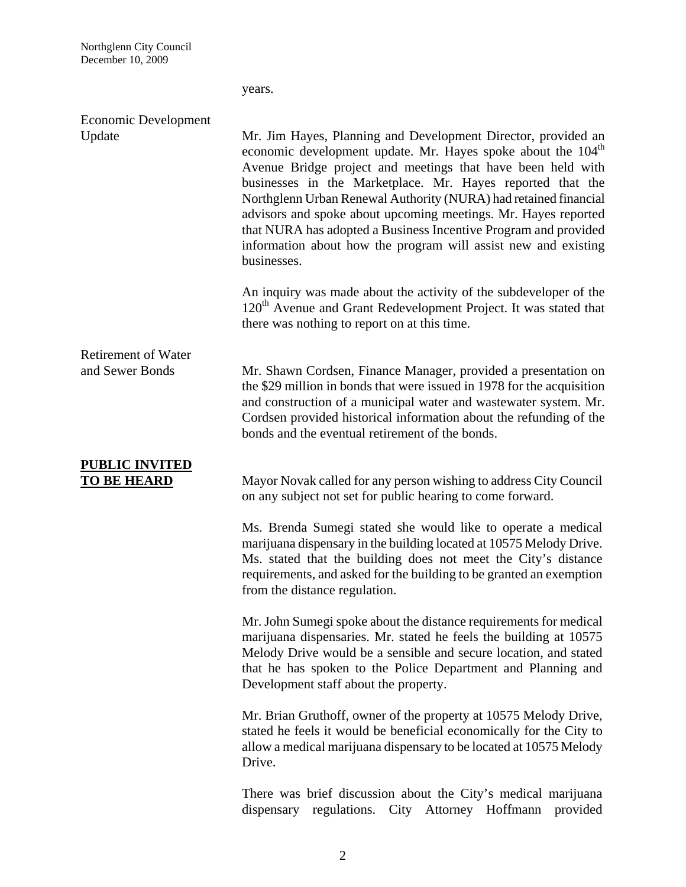|                                               | years.                                                                                                                                                                                                                                                                                                                                                                                                                                                                                                                                                           |
|-----------------------------------------------|------------------------------------------------------------------------------------------------------------------------------------------------------------------------------------------------------------------------------------------------------------------------------------------------------------------------------------------------------------------------------------------------------------------------------------------------------------------------------------------------------------------------------------------------------------------|
| Economic Development<br>Update                | Mr. Jim Hayes, Planning and Development Director, provided an<br>economic development update. Mr. Hayes spoke about the 104 <sup>th</sup><br>Avenue Bridge project and meetings that have been held with<br>businesses in the Marketplace. Mr. Hayes reported that the<br>Northglenn Urban Renewal Authority (NURA) had retained financial<br>advisors and spoke about upcoming meetings. Mr. Hayes reported<br>that NURA has adopted a Business Incentive Program and provided<br>information about how the program will assist new and existing<br>businesses. |
|                                               | An inquiry was made about the activity of the subdeveloper of the<br>120 <sup>th</sup> Avenue and Grant Redevelopment Project. It was stated that<br>there was nothing to report on at this time.                                                                                                                                                                                                                                                                                                                                                                |
| <b>Retirement of Water</b><br>and Sewer Bonds | Mr. Shawn Cordsen, Finance Manager, provided a presentation on<br>the \$29 million in bonds that were issued in 1978 for the acquisition<br>and construction of a municipal water and wastewater system. Mr.<br>Cordsen provided historical information about the refunding of the<br>bonds and the eventual retirement of the bonds.                                                                                                                                                                                                                            |
| <b>PUBLIC INVITED</b><br><u>TO BE HEARD</u>   | Mayor Novak called for any person wishing to address City Council<br>on any subject not set for public hearing to come forward.                                                                                                                                                                                                                                                                                                                                                                                                                                  |
|                                               | Ms. Brenda Sumegi stated she would like to operate a medical<br>marijuana dispensary in the building located at 10575 Melody Drive.<br>Ms. stated that the building does not meet the City's distance<br>requirements, and asked for the building to be granted an exemption<br>from the distance regulation.                                                                                                                                                                                                                                                    |
|                                               | Mr. John Sumegi spoke about the distance requirements for medical<br>marijuana dispensaries. Mr. stated he feels the building at 10575<br>Melody Drive would be a sensible and secure location, and stated<br>that he has spoken to the Police Department and Planning and<br>Development staff about the property.                                                                                                                                                                                                                                              |
|                                               | Mr. Brian Gruthoff, owner of the property at 10575 Melody Drive,<br>stated he feels it would be beneficial economically for the City to<br>allow a medical marijuana dispensary to be located at 10575 Melody<br>Drive.                                                                                                                                                                                                                                                                                                                                          |
|                                               | There was brief discussion about the City's medical marijuana<br>regulations.<br>City Attorney Hoffmann<br>provided<br>dispensary                                                                                                                                                                                                                                                                                                                                                                                                                                |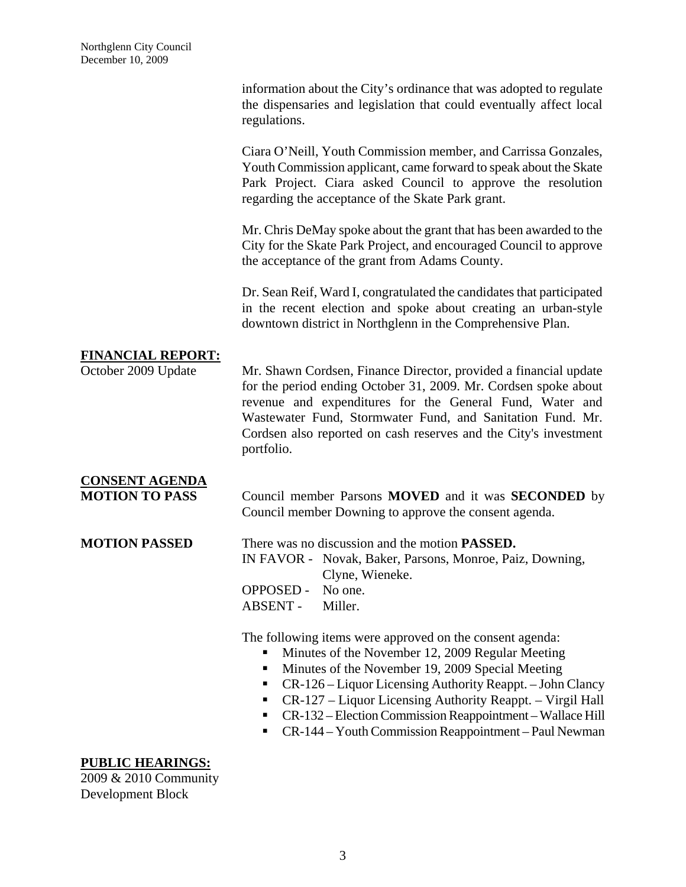|                                                | information about the City's ordinance that was adopted to regulate<br>the dispensaries and legislation that could eventually affect local<br>regulations.                                                                                                                                                                                                                                                                                     |
|------------------------------------------------|------------------------------------------------------------------------------------------------------------------------------------------------------------------------------------------------------------------------------------------------------------------------------------------------------------------------------------------------------------------------------------------------------------------------------------------------|
|                                                | Ciara O'Neill, Youth Commission member, and Carrissa Gonzales,<br>Youth Commission applicant, came forward to speak about the Skate<br>Park Project. Ciara asked Council to approve the resolution<br>regarding the acceptance of the Skate Park grant.                                                                                                                                                                                        |
|                                                | Mr. Chris DeMay spoke about the grant that has been awarded to the<br>City for the Skate Park Project, and encouraged Council to approve<br>the acceptance of the grant from Adams County.                                                                                                                                                                                                                                                     |
|                                                | Dr. Sean Reif, Ward I, congratulated the candidates that participated<br>in the recent election and spoke about creating an urban-style<br>downtown district in Northglenn in the Comprehensive Plan.                                                                                                                                                                                                                                          |
| <b>FINANCIAL REPORT:</b>                       |                                                                                                                                                                                                                                                                                                                                                                                                                                                |
| October 2009 Update                            | Mr. Shawn Cordsen, Finance Director, provided a financial update<br>for the period ending October 31, 2009. Mr. Cordsen spoke about<br>revenue and expenditures for the General Fund, Water and<br>Wastewater Fund, Stormwater Fund, and Sanitation Fund. Mr.<br>Cordsen also reported on cash reserves and the City's investment<br>portfolio.                                                                                                |
| <b>CONSENT AGENDA</b><br><b>MOTION TO PASS</b> | Council member Parsons <b>MOVED</b> and it was <b>SECONDED</b> by<br>Council member Downing to approve the consent agenda.                                                                                                                                                                                                                                                                                                                     |
| <b>MOTION PASSED</b>                           | There was no discussion and the motion <b>PASSED</b> .<br>IN FAVOR - Novak, Baker, Parsons, Monroe, Paiz, Downing,<br>Clyne, Wieneke.<br><b>OPPOSED -</b><br>No one.<br><b>ABSENT -</b><br>Miller.                                                                                                                                                                                                                                             |
|                                                | The following items were approved on the consent agenda:<br>Minutes of the November 12, 2009 Regular Meeting<br>п<br>Minutes of the November 19, 2009 Special Meeting<br>п<br>CR-126 – Liquor Licensing Authority Reappt. – John Clancy<br>п<br>CR-127 - Liquor Licensing Authority Reappt. - Virgil Hall<br>п<br>CR-132 - Election Commission Reappointment - Wallace Hill<br>п<br>CR-144 – Youth Commission Reappointment – Paul Newman<br>п |

## **PUBLIC HEARINGS:**

2009 & 2010 Community Development Block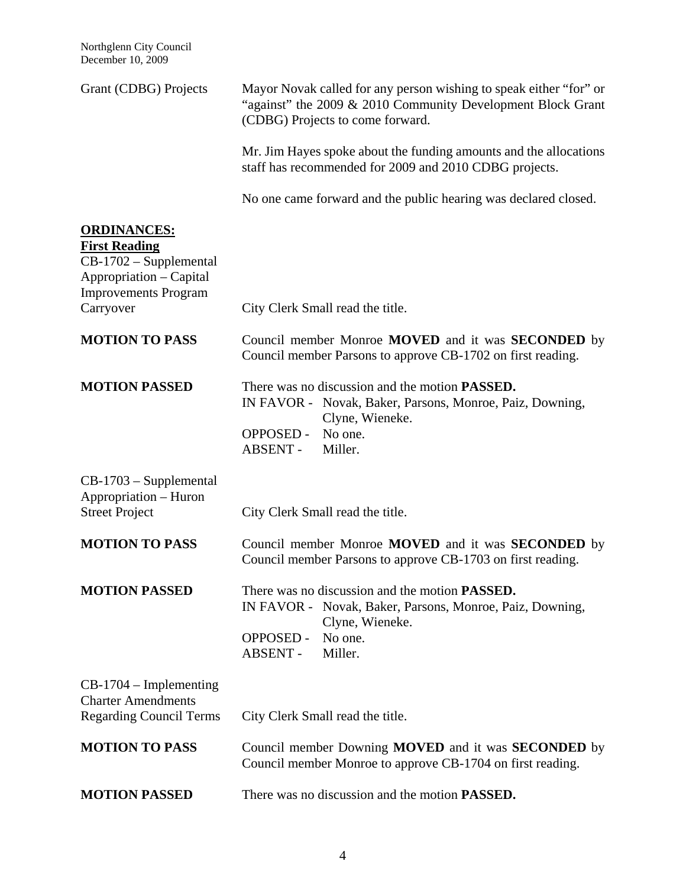Northglenn City Council December 10, 2009

| Grant (CDBG) Projects                                                                                                                       | Mayor Novak called for any person wishing to speak either "for" or<br>"against" the 2009 & 2010 Community Development Block Grant<br>(CDBG) Projects to come forward.                       |  |
|---------------------------------------------------------------------------------------------------------------------------------------------|---------------------------------------------------------------------------------------------------------------------------------------------------------------------------------------------|--|
|                                                                                                                                             | Mr. Jim Hayes spoke about the funding amounts and the allocations<br>staff has recommended for 2009 and 2010 CDBG projects.                                                                 |  |
|                                                                                                                                             | No one came forward and the public hearing was declared closed.                                                                                                                             |  |
| <b>ORDINANCES:</b><br><b>First Reading</b><br>CB-1702 - Supplemental<br>Appropriation - Capital<br><b>Improvements Program</b><br>Carryover | City Clerk Small read the title.                                                                                                                                                            |  |
| <b>MOTION TO PASS</b>                                                                                                                       | Council member Monroe MOVED and it was SECONDED by<br>Council member Parsons to approve CB-1702 on first reading.                                                                           |  |
| <b>MOTION PASSED</b>                                                                                                                        | There was no discussion and the motion <b>PASSED</b> .<br>IN FAVOR - Novak, Baker, Parsons, Monroe, Paiz, Downing,<br>Clyne, Wieneke.<br><b>OPPOSED -</b><br>No one.<br>ABSENT -<br>Miller. |  |
| $CB-1703$ – Supplemental<br>Appropriation - Huron<br><b>Street Project</b>                                                                  | City Clerk Small read the title.                                                                                                                                                            |  |
| <b>MOTION TO PASS</b>                                                                                                                       | Council member Monroe <b>MOVED</b> and it was <b>SECONDED</b> by<br>Council member Parsons to approve CB-1703 on first reading.                                                             |  |
| <b>MOTION PASSED</b>                                                                                                                        | There was no discussion and the motion <b>PASSED</b> .<br>IN FAVOR - Novak, Baker, Parsons, Monroe, Paiz, Downing,<br>Clyne, Wieneke.<br><b>OPPOSED -</b><br>No one.<br>ABSENT -<br>Miller. |  |
| $CB-1704$ – Implementing<br><b>Charter Amendments</b><br><b>Regarding Council Terms</b>                                                     | City Clerk Small read the title.                                                                                                                                                            |  |
| <b>MOTION TO PASS</b>                                                                                                                       | Council member Downing MOVED and it was SECONDED by<br>Council member Monroe to approve CB-1704 on first reading.                                                                           |  |
| <b>MOTION PASSED</b>                                                                                                                        | There was no discussion and the motion <b>PASSED</b> .                                                                                                                                      |  |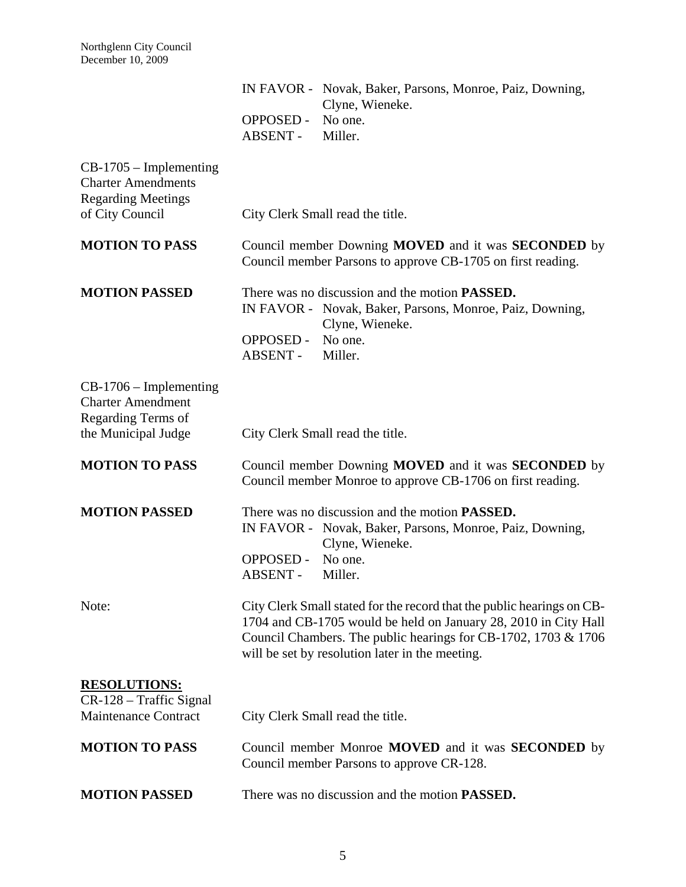|                                                                                    |                                     | IN FAVOR - Novak, Baker, Parsons, Monroe, Paiz, Downing,<br>Clyne, Wieneke.                                                                                                                                                                                    |
|------------------------------------------------------------------------------------|-------------------------------------|----------------------------------------------------------------------------------------------------------------------------------------------------------------------------------------------------------------------------------------------------------------|
|                                                                                    | <b>OPPOSED -</b><br>ABSENT -        | No one.<br>Miller.                                                                                                                                                                                                                                             |
| $CB-1705$ – Implementing<br><b>Charter Amendments</b><br><b>Regarding Meetings</b> |                                     |                                                                                                                                                                                                                                                                |
| of City Council                                                                    |                                     | City Clerk Small read the title.                                                                                                                                                                                                                               |
| <b>MOTION TO PASS</b>                                                              |                                     | Council member Downing MOVED and it was SECONDED by<br>Council member Parsons to approve CB-1705 on first reading.                                                                                                                                             |
| <b>MOTION PASSED</b>                                                               |                                     | There was no discussion and the motion <b>PASSED</b> .<br>IN FAVOR - Novak, Baker, Parsons, Monroe, Paiz, Downing,<br>Clyne, Wieneke.                                                                                                                          |
|                                                                                    | <b>OPPOSED -</b><br>ABSENT -        | No one.<br>Miller.                                                                                                                                                                                                                                             |
| $CB-1706$ – Implementing<br><b>Charter Amendment</b><br>Regarding Terms of         |                                     |                                                                                                                                                                                                                                                                |
| the Municipal Judge                                                                |                                     | City Clerk Small read the title.                                                                                                                                                                                                                               |
| <b>MOTION TO PASS</b>                                                              |                                     | Council member Downing MOVED and it was SECONDED by<br>Council member Monroe to approve CB-1706 on first reading.                                                                                                                                              |
| <b>MOTION PASSED</b>                                                               |                                     | There was no discussion and the motion <b>PASSED</b> .<br>IN FAVOR - Novak, Baker, Parsons, Monroe, Paiz, Downing,<br>Clyne, Wieneke.                                                                                                                          |
|                                                                                    | <b>OPPOSED -</b><br><b>ABSENT -</b> | No one.<br>Miller.                                                                                                                                                                                                                                             |
| Note:                                                                              |                                     | City Clerk Small stated for the record that the public hearings on CB-<br>1704 and CB-1705 would be held on January 28, 2010 in City Hall<br>Council Chambers. The public hearings for CB-1702, 1703 & 1706<br>will be set by resolution later in the meeting. |
| <b>RESOLUTIONS:</b><br>CR-128 – Traffic Signal<br><b>Maintenance Contract</b>      |                                     | City Clerk Small read the title.                                                                                                                                                                                                                               |
| <b>MOTION TO PASS</b>                                                              |                                     | Council member Monroe <b>MOVED</b> and it was <b>SECONDED</b> by<br>Council member Parsons to approve CR-128.                                                                                                                                                  |
| <b>MOTION PASSED</b>                                                               |                                     | There was no discussion and the motion <b>PASSED</b> .                                                                                                                                                                                                         |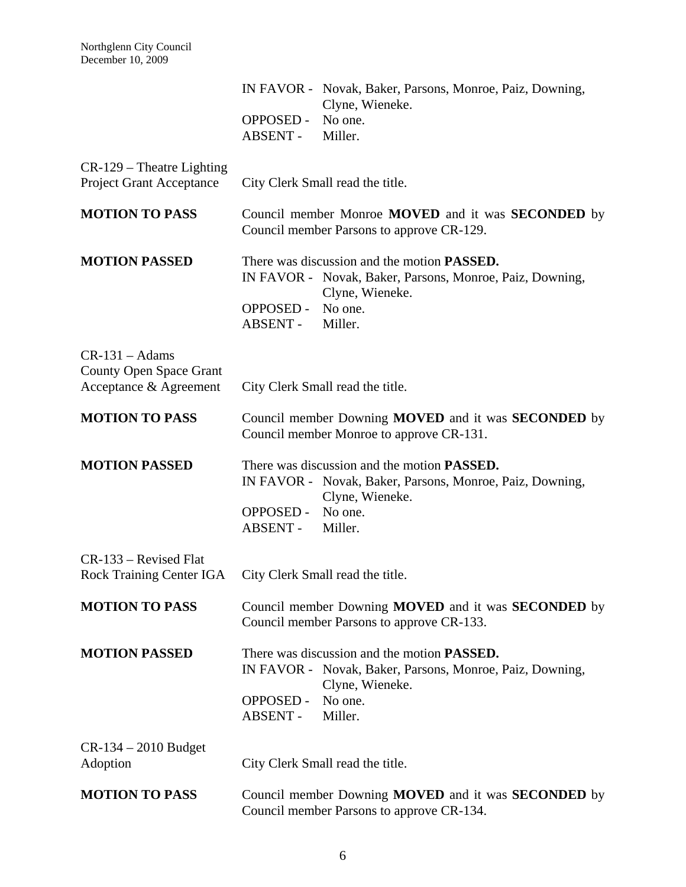|                                                                              |                              | IN FAVOR - Novak, Baker, Parsons, Monroe, Paiz, Downing,<br>Clyne, Wieneke.                                                                              |
|------------------------------------------------------------------------------|------------------------------|----------------------------------------------------------------------------------------------------------------------------------------------------------|
|                                                                              | <b>OPPOSED -</b><br>ABSENT - | No one.<br>Miller.                                                                                                                                       |
| CR-129 - Theatre Lighting<br><b>Project Grant Acceptance</b>                 |                              | City Clerk Small read the title.                                                                                                                         |
| <b>MOTION TO PASS</b>                                                        |                              | Council member Monroe MOVED and it was SECONDED by<br>Council member Parsons to approve CR-129.                                                          |
| <b>MOTION PASSED</b>                                                         | <b>OPPOSED -</b><br>ABSENT - | There was discussion and the motion <b>PASSED</b> .<br>IN FAVOR - Novak, Baker, Parsons, Monroe, Paiz, Downing,<br>Clyne, Wieneke.<br>No one.<br>Miller. |
| $CR-131 - Adams$<br><b>County Open Space Grant</b><br>Acceptance & Agreement |                              | City Clerk Small read the title.                                                                                                                         |
| <b>MOTION TO PASS</b>                                                        |                              | Council member Downing MOVED and it was SECONDED by<br>Council member Monroe to approve CR-131.                                                          |
| <b>MOTION PASSED</b>                                                         | <b>OPPOSED -</b><br>ABSENT - | There was discussion and the motion <b>PASSED</b> .<br>IN FAVOR - Novak, Baker, Parsons, Monroe, Paiz, Downing,<br>Clyne, Wieneke.<br>No one.<br>Miller. |
| CR-133 – Revised Flat<br><b>Rock Training Center IGA</b>                     |                              | City Clerk Small read the title.                                                                                                                         |
| <b>MOTION TO PASS</b>                                                        |                              | Council member Downing MOVED and it was SECONDED by<br>Council member Parsons to approve CR-133.                                                         |
| <b>MOTION PASSED</b>                                                         | OPPOSED -<br>ABSENT -        | There was discussion and the motion <b>PASSED</b> .<br>IN FAVOR - Novak, Baker, Parsons, Monroe, Paiz, Downing,<br>Clyne, Wieneke.<br>No one.<br>Miller. |
| $CR-134-2010$ Budget<br>Adoption                                             |                              | City Clerk Small read the title.                                                                                                                         |
| <b>MOTION TO PASS</b>                                                        |                              | Council member Downing MOVED and it was SECONDED by<br>Council member Parsons to approve CR-134.                                                         |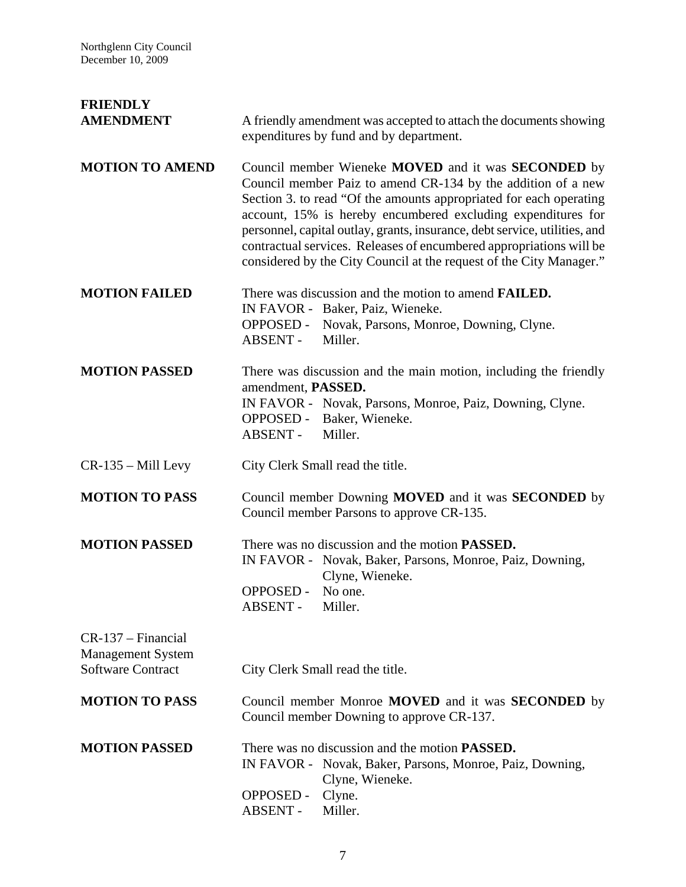| <b>FRIENDLY</b><br><b>AMENDMENT</b>                                        | A friendly amendment was accepted to attach the documents showing<br>expenditures by fund and by department.                                                                                                                                                                                                                                                                                                                                                                          |
|----------------------------------------------------------------------------|---------------------------------------------------------------------------------------------------------------------------------------------------------------------------------------------------------------------------------------------------------------------------------------------------------------------------------------------------------------------------------------------------------------------------------------------------------------------------------------|
| <b>MOTION TO AMEND</b>                                                     | Council member Wieneke MOVED and it was SECONDED by<br>Council member Paiz to amend CR-134 by the addition of a new<br>Section 3. to read "Of the amounts appropriated for each operating<br>account, 15% is hereby encumbered excluding expenditures for<br>personnel, capital outlay, grants, insurance, debt service, utilities, and<br>contractual services. Releases of encumbered appropriations will be<br>considered by the City Council at the request of the City Manager." |
| <b>MOTION FAILED</b>                                                       | There was discussion and the motion to amend <b>FAILED</b> .<br>IN FAVOR - Baker, Paiz, Wieneke.<br>OPPOSED - Novak, Parsons, Monroe, Downing, Clyne.<br>ABSENT -<br>Miller.                                                                                                                                                                                                                                                                                                          |
| <b>MOTION PASSED</b>                                                       | There was discussion and the main motion, including the friendly<br>amendment, PASSED.<br>IN FAVOR - Novak, Parsons, Monroe, Paiz, Downing, Clyne.<br>OPPOSED - Baker, Wieneke.<br>ABSENT -<br>Miller.                                                                                                                                                                                                                                                                                |
| $CR-135 - Mill Levy$                                                       | City Clerk Small read the title.                                                                                                                                                                                                                                                                                                                                                                                                                                                      |
| <b>MOTION TO PASS</b>                                                      | Council member Downing MOVED and it was SECONDED by<br>Council member Parsons to approve CR-135.                                                                                                                                                                                                                                                                                                                                                                                      |
| <b>MOTION PASSED</b>                                                       | There was no discussion and the motion <b>PASSED</b> .<br>IN FAVOR - Novak, Baker, Parsons, Monroe, Paiz, Downing,<br>Clyne, Wieneke.<br>OPPOSED - No one.<br><b>ABSENT -</b><br>Miller.                                                                                                                                                                                                                                                                                              |
| CR-137 – Financial<br><b>Management System</b><br><b>Software Contract</b> | City Clerk Small read the title.                                                                                                                                                                                                                                                                                                                                                                                                                                                      |
| <b>MOTION TO PASS</b>                                                      | Council member Monroe <b>MOVED</b> and it was <b>SECONDED</b> by<br>Council member Downing to approve CR-137.                                                                                                                                                                                                                                                                                                                                                                         |
| <b>MOTION PASSED</b>                                                       | There was no discussion and the motion <b>PASSED</b> .<br>IN FAVOR - Novak, Baker, Parsons, Monroe, Paiz, Downing,<br>Clyne, Wieneke.<br><b>OPPOSED -</b><br>Clyne.<br><b>ABSENT -</b><br>Miller.                                                                                                                                                                                                                                                                                     |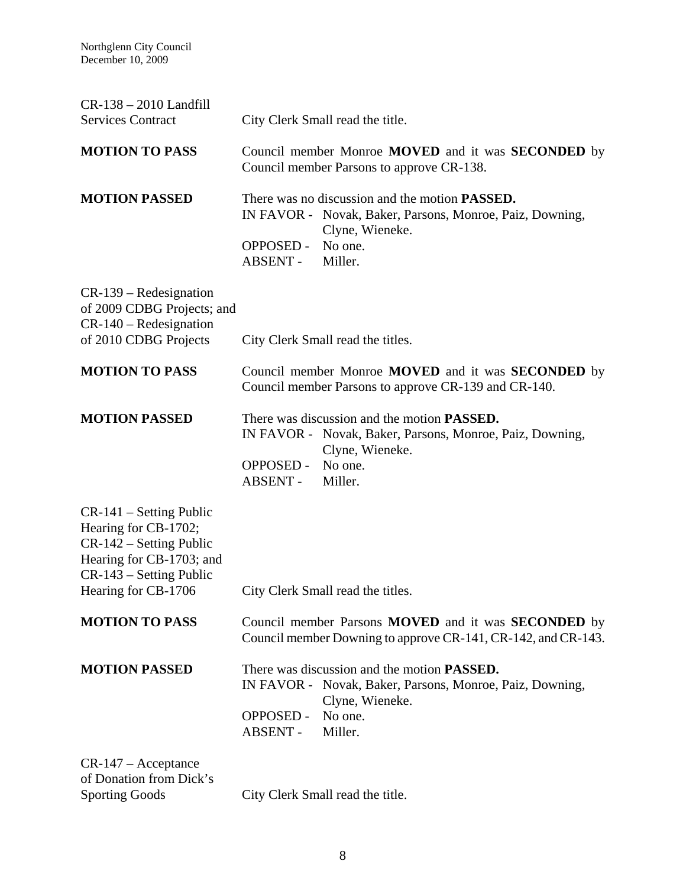| $CR-138-2010$ Landfill<br><b>Services Contract</b>                                                                                                           | City Clerk Small read the title.                                                                                                                                                         |
|--------------------------------------------------------------------------------------------------------------------------------------------------------------|------------------------------------------------------------------------------------------------------------------------------------------------------------------------------------------|
| <b>MOTION TO PASS</b>                                                                                                                                        | Council member Monroe MOVED and it was SECONDED by<br>Council member Parsons to approve CR-138.                                                                                          |
| <b>MOTION PASSED</b>                                                                                                                                         | There was no discussion and the motion PASSED.<br>IN FAVOR - Novak, Baker, Parsons, Monroe, Paiz, Downing,<br>Clyne, Wieneke.<br>No one.<br><b>OPPOSED -</b><br>ABSENT -<br>Miller.      |
| $CR-139 - Redesignation$<br>of 2009 CDBG Projects; and<br>$CR-140$ – Redesignation<br>of 2010 CDBG Projects                                                  | City Clerk Small read the titles.                                                                                                                                                        |
| <b>MOTION TO PASS</b>                                                                                                                                        | Council member Monroe <b>MOVED</b> and it was <b>SECONDED</b> by<br>Council member Parsons to approve CR-139 and CR-140.                                                                 |
| <b>MOTION PASSED</b>                                                                                                                                         | There was discussion and the motion <b>PASSED</b> .<br>IN FAVOR - Novak, Baker, Parsons, Monroe, Paiz, Downing,<br>Clyne, Wieneke.<br>No one.<br><b>OPPOSED -</b><br>ABSENT -<br>Miller. |
| $CR-141$ – Setting Public<br>Hearing for CB-1702;<br>$CR-142$ – Setting Public<br>Hearing for CB-1703; and<br>CR-143 - Setting Public<br>Hearing for CB-1706 | City Clerk Small read the titles.                                                                                                                                                        |
| <b>MOTION TO PASS</b>                                                                                                                                        | Council member Parsons MOVED and it was SECONDED by<br>Council member Downing to approve CR-141, CR-142, and CR-143.                                                                     |
| <b>MOTION PASSED</b>                                                                                                                                         | There was discussion and the motion <b>PASSED</b> .<br>IN FAVOR - Novak, Baker, Parsons, Monroe, Paiz, Downing,<br>Clyne, Wieneke.<br>No one.<br><b>OPPOSED -</b><br>ABSENT -<br>Miller. |
| $CR-147 - Acceptance$<br>of Donation from Dick's<br><b>Sporting Goods</b>                                                                                    | City Clerk Small read the title.                                                                                                                                                         |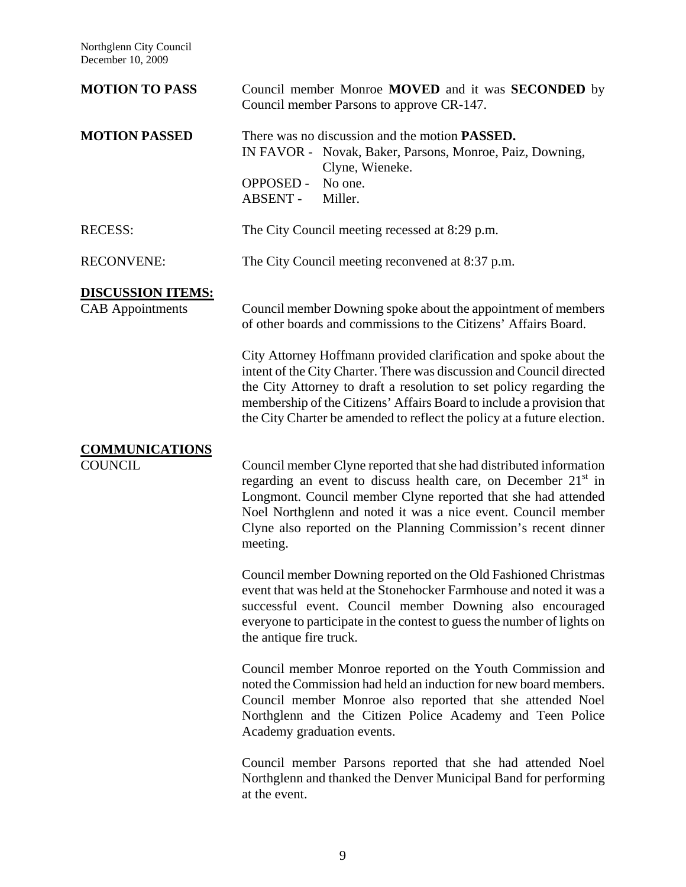Northglenn City Council December 10, 2009

| <b>MOTION TO PASS</b>                               | Council member Monroe MOVED and it was SECONDED by<br>Council member Parsons to approve CR-147.                                                                                                                                                                                                                                                                       |
|-----------------------------------------------------|-----------------------------------------------------------------------------------------------------------------------------------------------------------------------------------------------------------------------------------------------------------------------------------------------------------------------------------------------------------------------|
| <b>MOTION PASSED</b>                                | There was no discussion and the motion <b>PASSED</b> .<br>IN FAVOR - Novak, Baker, Parsons, Monroe, Paiz, Downing,<br>Clyne, Wieneke.<br><b>OPPOSED -</b><br>No one.<br>ABSENT -<br>Miller.                                                                                                                                                                           |
| <b>RECESS:</b>                                      | The City Council meeting recessed at 8:29 p.m.                                                                                                                                                                                                                                                                                                                        |
| <b>RECONVENE:</b>                                   | The City Council meeting reconvened at 8:37 p.m.                                                                                                                                                                                                                                                                                                                      |
| <b>DISCUSSION ITEMS:</b><br><b>CAB</b> Appointments | Council member Downing spoke about the appointment of members<br>of other boards and commissions to the Citizens' Affairs Board.                                                                                                                                                                                                                                      |
|                                                     | City Attorney Hoffmann provided clarification and spoke about the<br>intent of the City Charter. There was discussion and Council directed<br>the City Attorney to draft a resolution to set policy regarding the<br>membership of the Citizens' Affairs Board to include a provision that<br>the City Charter be amended to reflect the policy at a future election. |
| <b>COMMUNICATIONS</b><br><b>COUNCIL</b>             | Council member Clyne reported that she had distributed information<br>regarding an event to discuss health care, on December 21 <sup>st</sup> in<br>Longmont. Council member Clyne reported that she had attended<br>Noel Northglenn and noted it was a nice event. Council member<br>Clyne also reported on the Planning Commission's recent dinner<br>meeting.      |
|                                                     | Council member Downing reported on the Old Fashioned Christmas<br>event that was held at the Stonehocker Farmhouse and noted it was a<br>successful event. Council member Downing also encouraged<br>everyone to participate in the contest to guess the number of lights on<br>the antique fire truck.                                                               |
|                                                     | Council member Monroe reported on the Youth Commission and<br>noted the Commission had held an induction for new board members.<br>Council member Monroe also reported that she attended Noel<br>Northglenn and the Citizen Police Academy and Teen Police<br>Academy graduation events.                                                                              |
|                                                     | Council member Parsons reported that she had attended Noel<br>Northglenn and thanked the Denver Municipal Band for performing<br>at the event.                                                                                                                                                                                                                        |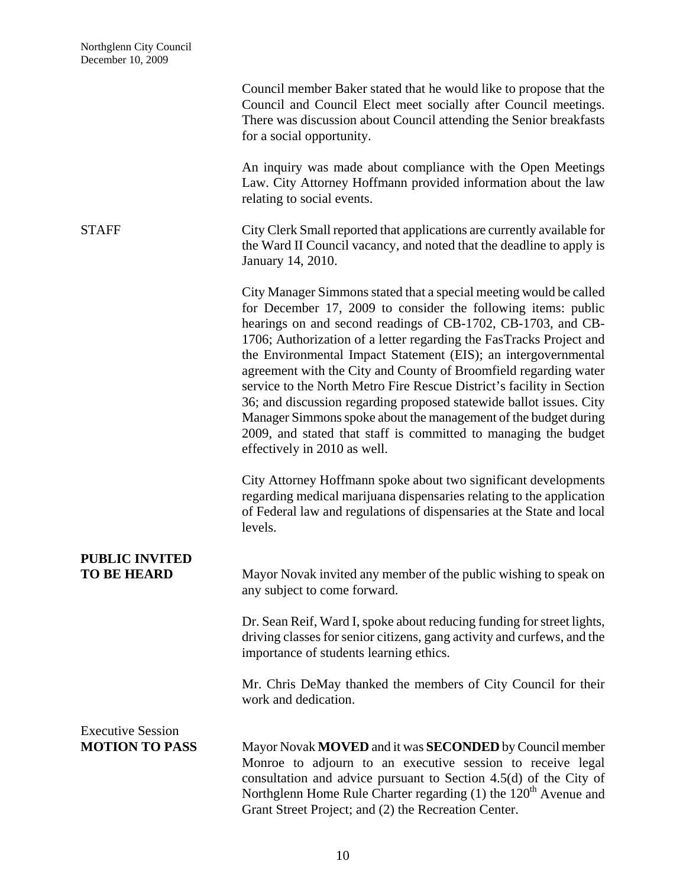|                                                   | Council member Baker stated that he would like to propose that the<br>Council and Council Elect meet socially after Council meetings.<br>There was discussion about Council attending the Senior breakfasts<br>for a social opportunity.                                                                                                                                                                                                                                                                                                                                                                                                                                                                                               |
|---------------------------------------------------|----------------------------------------------------------------------------------------------------------------------------------------------------------------------------------------------------------------------------------------------------------------------------------------------------------------------------------------------------------------------------------------------------------------------------------------------------------------------------------------------------------------------------------------------------------------------------------------------------------------------------------------------------------------------------------------------------------------------------------------|
|                                                   | An inquiry was made about compliance with the Open Meetings<br>Law. City Attorney Hoffmann provided information about the law<br>relating to social events.                                                                                                                                                                                                                                                                                                                                                                                                                                                                                                                                                                            |
| <b>STAFF</b>                                      | City Clerk Small reported that applications are currently available for<br>the Ward II Council vacancy, and noted that the deadline to apply is<br>January 14, 2010.                                                                                                                                                                                                                                                                                                                                                                                                                                                                                                                                                                   |
|                                                   | City Manager Simmons stated that a special meeting would be called<br>for December 17, 2009 to consider the following items: public<br>hearings on and second readings of CB-1702, CB-1703, and CB-<br>1706; Authorization of a letter regarding the FasTracks Project and<br>the Environmental Impact Statement (EIS); an intergovernmental<br>agreement with the City and County of Broomfield regarding water<br>service to the North Metro Fire Rescue District's facility in Section<br>36; and discussion regarding proposed statewide ballot issues. City<br>Manager Simmons spoke about the management of the budget during<br>2009, and stated that staff is committed to managing the budget<br>effectively in 2010 as well. |
|                                                   | City Attorney Hoffmann spoke about two significant developments<br>regarding medical marijuana dispensaries relating to the application<br>of Federal law and regulations of dispensaries at the State and local<br>levels.                                                                                                                                                                                                                                                                                                                                                                                                                                                                                                            |
| <b>PUBLIC INVITED</b><br><b>TO BE HEARD</b>       | Mayor Novak invited any member of the public wishing to speak on<br>any subject to come forward.                                                                                                                                                                                                                                                                                                                                                                                                                                                                                                                                                                                                                                       |
|                                                   | Dr. Sean Reif, Ward I, spoke about reducing funding for street lights,<br>driving classes for senior citizens, gang activity and curfews, and the<br>importance of students learning ethics.                                                                                                                                                                                                                                                                                                                                                                                                                                                                                                                                           |
|                                                   | Mr. Chris DeMay thanked the members of City Council for their<br>work and dedication.                                                                                                                                                                                                                                                                                                                                                                                                                                                                                                                                                                                                                                                  |
| <b>Executive Session</b><br><b>MOTION TO PASS</b> | Mayor Novak MOVED and it was SECONDED by Council member<br>Monroe to adjourn to an executive session to receive legal<br>consultation and advice pursuant to Section 4.5(d) of the City of<br>Northglenn Home Rule Charter regarding $(1)$ the 120 <sup>th</sup> Avenue and<br>Grant Street Project; and (2) the Recreation Center.                                                                                                                                                                                                                                                                                                                                                                                                    |